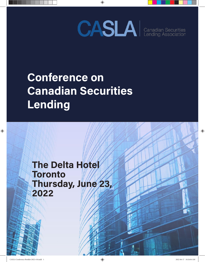

## **Conference on Canadian Securities Lending**

**The Delta Hotel Toronto Thursday, June 23, 2022**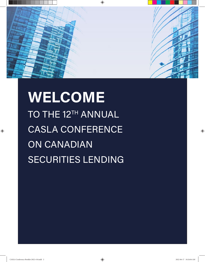

## **WELCOME** TO THE 12<sup>TH</sup> ANNUAL CASLA CONFERENCE ON CANADIAN SECURITIES LENDING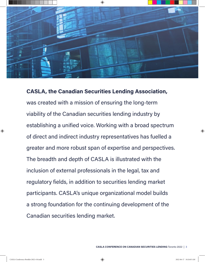

**CASLA, the Canadian Securities Lending Association,** was created with a mission of ensuring the long-term viability of the Canadian securities lending industry by establishing a unified voice. Working with a broad spectrum of direct and indirect industry representatives has fuelled a greater and more robust span of expertise and perspectives. The breadth and depth of CASLA is illustrated with the inclusion of external professionals in the legal, tax and regulatory fields, in addition to securities lending market participants. CASLA's unique organizational model builds a strong foundation for the continuing development of the Canadian securities lending market.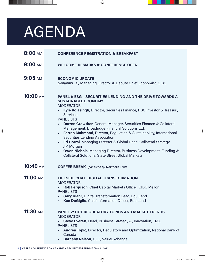# AGENDA

| 8:00 AM         | <b>CONFERENCE REGISTRATION &amp; BREAKFAST</b>                                                                                                                                                                                                                                                                                                                                                                                                                                                                                                                                                                                                                                                                                         |
|-----------------|----------------------------------------------------------------------------------------------------------------------------------------------------------------------------------------------------------------------------------------------------------------------------------------------------------------------------------------------------------------------------------------------------------------------------------------------------------------------------------------------------------------------------------------------------------------------------------------------------------------------------------------------------------------------------------------------------------------------------------------|
| <b>9:00 AM</b>  | <b>WELCOME REMARKS &amp; CONFERENCE OPEN</b>                                                                                                                                                                                                                                                                                                                                                                                                                                                                                                                                                                                                                                                                                           |
| $9:05$ AM       | <b>ECONOMIC UPDATE</b><br>Benjamin Tal, Managing Director & Deputy Chief Economist, CIBC                                                                                                                                                                                                                                                                                                                                                                                                                                                                                                                                                                                                                                               |
| <b>10:00 AM</b> | <b>PANEL 1: ESG - SECURITIES LENDING AND THE DRIVE TOWARDS A</b><br><b>SUSTAINABLE ECONOMY</b><br><b>MODERATOR</b><br>Kyle Kolasingh, Director, Securities Finance, RBC Investor & Treasury<br><b>Services</b><br><b>PANELISTS</b><br><b>Darren Crowther, General Manager, Securities Finance &amp; Collateral</b><br>Management, Broadridge Financial Solutions Ltd.<br>Farrah Mahmood, Director, Regulation & Sustainability, International<br><b>Securities Lending Association</b><br>Ed Corral, Managing Director & Global Head, Collateral Strategy,<br>J.P. Morgan<br><b>Owen Nichols, Managing Director, Business Development, Funding &amp;</b><br>$\blacksquare$<br><b>Collateral Solutions, State Street Global Markets</b> |
| <b>10:40 AM</b> | <b>COFFEE BREAK</b> Sponsored by Northern Trust                                                                                                                                                                                                                                                                                                                                                                                                                                                                                                                                                                                                                                                                                        |
| <b>11:00 AM</b> | <b>FIRESIDE CHAT: DIGITAL TRANSFORMATION</b><br><b>MODERATOR</b><br>Rob Ferguson, Chief Capital Markets Officer, CIBC Mellon<br><b>PANELISTS</b><br>Gary Klahr, Digital Transformation Lead, EquiLend<br>Ken DeGiglio, Chief Information Officer, EquiLend                                                                                                                                                                                                                                                                                                                                                                                                                                                                             |
| <b>11:30 AM</b> | <b>PANEL 2: HOT REGULATORY TOPICS AND MARKET TRENDS</b><br><b>MODERATOR</b><br><b>Steve Everett, Head, Business Strategy &amp;, Innovation, TMX</b><br><b>PANELISTS</b><br><b>Andrea Topic, Director, Regulatory and Optimization, National Bank of</b><br>Canada<br>Barnaby Nelson, CEO, ValueExchange                                                                                                                                                                                                                                                                                                                                                                                                                                |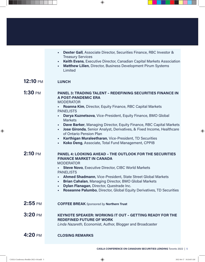|                    | <b>Dexter Gall, Associate Director, Securities Finance, RBC Investor &amp;</b><br>٠<br><b>Treasury Services</b>                                                                                                                                                                                                                                                                                                                                                                                                                                                                                                    |
|--------------------|--------------------------------------------------------------------------------------------------------------------------------------------------------------------------------------------------------------------------------------------------------------------------------------------------------------------------------------------------------------------------------------------------------------------------------------------------------------------------------------------------------------------------------------------------------------------------------------------------------------------|
|                    | Keith Evans, Executive Director, Canadian Capital Markets Association<br>٠<br>Matthew Lilien, Director, Business Development Pirum Systems<br>٠<br>Limited                                                                                                                                                                                                                                                                                                                                                                                                                                                         |
| 12:10 pm           | <b>LUNCH</b>                                                                                                                                                                                                                                                                                                                                                                                                                                                                                                                                                                                                       |
| <b>1:30</b> PM     | <b>PANEL 3: TRADING TALENT - REDEFINING SECURITIES FINANCE IN</b><br><b>A POST-PANDEMIC ERA</b><br><b>MODERATOR</b><br><b>Roanna Kim, Director, Equity Finance, RBC Capital Markets</b><br><b>PANELISTS</b><br>Darya Kuznetsova, Vice-President, Equity Finance, BMO Global<br>×,<br><b>Markets</b><br>Dave Barker, Managing Director, Equity Finance, RBC Capital Markets<br>٠<br>Jose Gironda, Senior Analyst, Derivatives, & Fixed Income, Healthcare<br>٠<br>of Ontario Pension Plan<br>Karthigan Muraleetharan, Vice-President, TD Securities<br>٠<br>Koko Deng, Associate, Total Fund Management, CPPIB<br>٠ |
| $2:10 \text{ }$ PM | <b>PANEL 4: LOOKING AHEAD - THE OUTLOOK FOR THE SECURITIES</b><br><b>FINANCE MARKET IN CANADA</b><br><b>MODERATOR</b><br><b>Steve Novo, Executive Director, CIBC World Markets</b><br><b>PANELISTS</b><br>Ahmed Shadmann, Vice-President, State Street Global Markets<br>٠<br>Brian Cahalan, Managing Director, BMO Global Markets<br>٠<br>Dylan Flanagan, Director, Questrade Inc.<br>×,<br>Roseanne Palumbo, Director, Global Equity Derivatives, TD Securities                                                                                                                                                  |
| $2:55$ PM          | <b>COFFEE BREAK</b> Sponsored by Northern Trust                                                                                                                                                                                                                                                                                                                                                                                                                                                                                                                                                                    |
| $3:20\,$ PM        | <b>KEYNOTE SPEAKER: WORKING IT OUT - GETTING READY FOR THE</b><br><b>REDEFINED FUTURE OF WORK</b><br>Linda Nazareth, Economist, Author, Blogger and Broadcaster                                                                                                                                                                                                                                                                                                                                                                                                                                                    |
| 4:20 pm            | <b>CLOSING REMARKS</b>                                                                                                                                                                                                                                                                                                                                                                                                                                                                                                                                                                                             |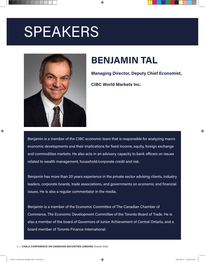# SPEAKERS



## **BENJAMIN TAL**

**Managing Director, Deputy Chief Economist,** 

**CIBC World Markets Inc.**

economic developments and their implications for fixed income, equity, foreign exchange and commodities markets. He also acts in an advisory capacity to bank officers on issues Benjamin is a member of the CIBC economic team that is responsible for analyzing macro related to wealth management, household/corporate credit and risk.

Benjamin has more than 20 years experience in the private sector advising clients, industry  $\overline{\phantom{a}}$  issues. He is also a regular commentator in the media. leaders, corporate boards, trade associations, and governments on economic and financial

Commerce, The Economic Development Committee of the Toronto Board of Trade. He is also a member of the board of Governors of Junior Achievement of Central Ontario, and a Benjamin is a member of the Economic Committee of The Canadian Chamber of board member of Toronto Finance International.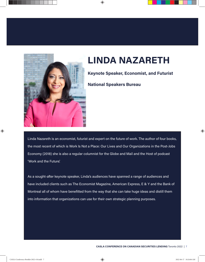

## **LINDA NAZARETH**

**Keynote Speaker, Economist, and Futurist**

**National Speakers Bureau**

the most recent of which is Work Is Not a Place: Our Lives and Our Organizations in the Post-Jobs Economy (2018) she is also a regular columnist for the Globe and Mail and the Host of podcast Linda Nazareth is an economist, futurist and expert on the future of work. The author of four books, 'Work and the Future'.

d v **CASLA, the Canadian Securities Lending Association,**

As a sought-after keynote speaker, Linda's audiences have spanned a range of audiences and<br> Montreal all of whom have benefitted from the way that she can take huge ideas and distill them The breadth and depth of CASLA is illustrated with the into information that organizations can use for their own strategic planning purposes. have included clients such as The Economist Magazine, American Express, E & Y and the Bank of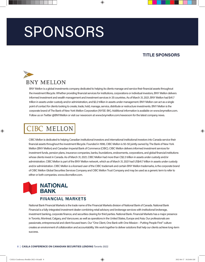# SPONSORS

### **TITLE SPONSORS**



BNY Mellon is a global investments company dedicated to helping its clients manage and service their financial assets throughout the investment lifecycle. Whether providing financial services for institutions, corporations or individual investors, BNY Mellon delivers informed investment and wealth management and investment services in 35 countries. As of March 31, 2021, BNY Mellon had \$41.7 trillion in assets under custody and/or administration, and \$2.2 trillion in assets under management. BNY Mellon can act as a single point of contact for clients looking to create, trade, hold, manage, service, distribute or restructure investments. BNY Mellon is the corporate brand of The Bank of New York Mellon Corporation (NYSE: BK). Additional information is available on [www.bnymellon.com.](http://www.bnymellon.com) Follow us on Twitter [@BNYMellon](https://twitter.com/BNYMellon?ref_src=twsrc%5Egoogle%7Ctwcamp%5Eserp%7Ctwgr%5Eauthor) or visit our newsroom at [www.bnymellon.com/newsroom](http://www.bnymellon.com/newsroom ) for the latest company news.

### CIBC MELLON

CIBC Mellon is dedicated to helping Canadian institutional investors and international institutional investors into Canada service their financial assets throughout the investment lifecycle. Founded in 1996, CIBC Mellon is 50-50 jointly owned by The Bank of New York Mellon (BNY Mellon) and Canadian Imperial Bank of Commerce (CIBC). CIBC Mellon delivers informed investment services for investment funds, pension plans, insurance companies, banks, foundations, endowments, corporations, and global financial institutions whose clients invest in Canada. As of March 31, 2021, CIBC Mellon had more than C\$2.3 trillion in assets under custody and/or administration. CIBC Mellon is part of the BNY Mellon network, which as of March 31, 2021 had US\$41.7 trillion in assets under custody and/or administration. CIBC Mellon is a licensed user of the CIBC trademark and certain BNY Mellon trademarks, is the corporate brand of CIBC Mellon Global Securities Services Company and CIBC Mellon Trust Company and may be used as a generic term to refer to either or both companies. [www.cibcmellon.com](http://www.cibcmellon.com).



National Bank Financial Markets is the trade name of the Financial Markets division of National Bank of Canada. National Bank Financial is a fully-integrated investment dealer combining retail advisory and brokerage services with institutional brokerage, investment banking, corporate finance, and securities clearing for third parties. National Bank. Financial Markets has a major presence in Toronto, Montreal, Calgary, and Vancouver, as well as operations in the United States, Europe and Asia. Our professionals are passionate, entrepreneurial and client-focused team. Our "One Client, One Bank with One Mission – Putting People First" culture creates an environment of collaboration and accountability. We work together to deliver solutions that help our clients achieve long-term success.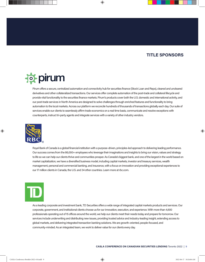### **TITLE SPONSORS**

## **For pirum**

Pirum offers a secure, centralized automation and connectivity hub for securities finance (Stock Loan and Repo), cleared and uncleared derivatives and other collateralized transactions. Our services offer complete automation of the post-trade and collateral lifecycle and provide vital functionality to the securities finance markets. Pirum's products cover both the U.S. domestic and international activity, and our post-trade services in North America are designed to solve challenges through enriched features and functionality to bring automation to the local markets. Across our platform we reconcile hundreds of thousands of transactions globally each day. Our suite of services enable our clients to seamlessly affirm trade economics on a real time basis, communicate and resolve exceptions with counterparts, instruct tri-party agents and integrate services with a variety of other industry vendors.



Royal Bank of Canada is a global financial institution with a purpose-driven, principles-led approach to delivering leading performance. Our success comes from the 86,000+ employees who leverage their imaginations and insights to bring our vision, values and strategy to life so we can help our clients thrive and communities prosper. As Canada's biggest bank, and one of the largest in the world based on market capitalization, we have a diversified business model, including capital markets, investor and treasury services, wealth management, personal and commercial banking, and insurance, with a focus on innovation and providing exceptional experiences to our 17 million clients in Canada, the U.S. and 34 other countries. Learn more at [rbc.com.](http://rbc.com)



As a leading corporate and investment bank, TD Securities offers a wide range of integrated capital markets products and services. Our corporate, government, and institutional clients choose us for our innovation, execution, and experience. With more than 4,600 professionals operating out of 15 offices around the world, we help our clients meet their needs today and prepare for tomorrow. Our services include underwriting and distributing new issues, providing trusted advice and industry-leading insight, extending access to global markets, and delivering integrated transaction banking solutions. We are growth-oriented, people-focused, and community-minded. As an integrated team, we work to deliver value for our clients every day.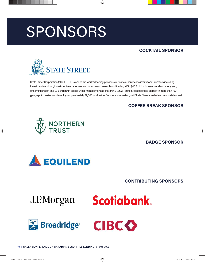# SPONSORS

### **COCKTAIL SPONSOR**



State Street Corporation (NYSE: STT) is one of the world's leading providers of financial services to institutional investors including investment servicing, investment management and investment research and trading. With \$40.3 trillion in assets under custody and/ or administration and \$3.6 trillion\* in assets under management as of March 31, 2021, State Street operates globally in more than 100 geographic markets and employs approximately 39,000 worldwide. For more information, visit State Street's website at [www.statestreet.](http://www.statestreet.com)

### **COFFEE BREAK SPONSOR**



**BADGE SPONSOR**



### **CONTRIBUTING SPONSORS**

J.P.Morgan





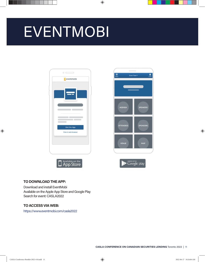# **EVENTMOBI**









#### **TO DOWNLOAD THE APP:**

Download and install EventMobi Available on the Apple App Store and Google Play Search for event: CASLA2022

### **TO ACCESS VIA WEB:**

<https://www.eventmobi.com/casla2022>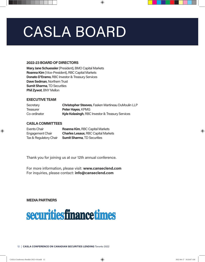# CASLA BOARD

#### **2022-23 BOARD OF DIRECTORS**

**Mary Jane Schuessler** (President), BMO Capital Markets **Roanna Kim** (Vice-President), RBC Capital Markets **Donato D'Eramo**, RBC Investor & Treasury Services **Dave Sedman**, Northern Trust **Sumit Sharma**, TD Securities **Phil Zywot**, BNY Mellon

#### **EXECUTIVE TEAM**

| Secretary    | Christopher Steeves, Fasken Martineau DuMoulin LLP          |
|--------------|-------------------------------------------------------------|
| Treasurer    | <b>Peter Hayes, KPMG</b>                                    |
| Co-ordinator | <b>Kyle Kolasingh, RBC Investor &amp; Treasury Services</b> |

#### **CASLA COMMITTEES**

| Events Chair           | <b>Roanna Kim, RBC Capital Markets</b>     |
|------------------------|--------------------------------------------|
| Engagement Chair       | <b>Charles Lesaux, RBC Capital Markets</b> |
| Tax & Regulatory Chair | <b>Sumit Sharma, TD Securities</b>         |

Thank you for joining us at our 12th annual conference.

For more information, please visit: **[www.canseclend.co](http://www.canseclend.co)m** For inquiries, please contact: **[info@canseclend.com](mailto:info%40canseclend.com?subject=)**

#### **MEDIA PARTNERS**

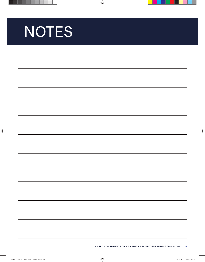